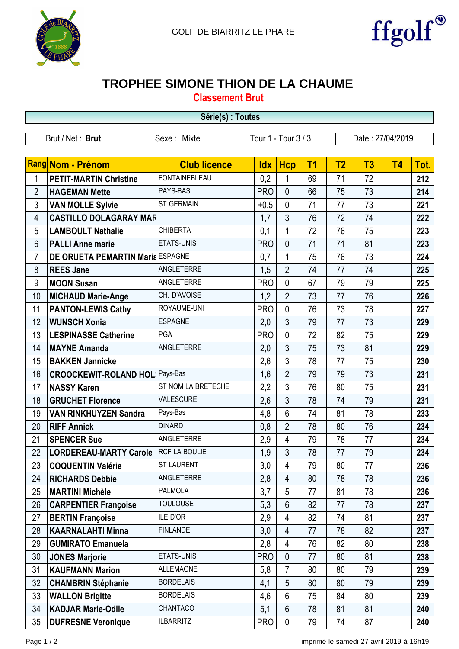



## **TROPHEE SIMONE THION DE LA CHAUME**

**Classement Brut**

| Série(s) : Toutes   |                                       |                      |            |                |                |                |                  |           |      |
|---------------------|---------------------------------------|----------------------|------------|----------------|----------------|----------------|------------------|-----------|------|
|                     | Brut / Net: Brut                      | Sexe: Mixte          |            |                |                |                | Date: 27/04/2019 |           |      |
| Tour 1 - Tour 3 / 3 |                                       |                      |            |                |                |                |                  |           |      |
|                     | Rang Nom - Prénom                     | <b>Club licence</b>  | <b>Idx</b> | <b>Hcp</b>     | T <sub>1</sub> | T <sub>2</sub> | T3               | <b>T4</b> | Tot. |
| 1                   | <b>PETIT-MARTIN Christine</b>         | <b>FONTAINEBLEAU</b> | 0,2        | 1              | 69             | 71             | 72               |           | 212  |
| $\overline{2}$      | <b>HAGEMAN Mette</b>                  | PAYS-BAS             | <b>PRO</b> | $\mathbf{0}$   | 66             | 75             | 73               |           | 214  |
| 3                   | <b>VAN MOLLE Sylvie</b>               | <b>ST GERMAIN</b>    | $+0,5$     | $\mathbf{0}$   | 71             | 77             | 73               |           | 221  |
| 4                   | <b>CASTILLO DOLAGARAY MAF</b>         |                      | 1,7        | 3              | 76             | 72             | 74               |           | 222  |
| 5                   | <b>LAMBOULT Nathalie</b>              | <b>CHIBERTA</b>      | 0,1        | $\mathbf{1}$   | 72             | 76             | 75               |           | 223  |
| 6                   | <b>PALLI Anne marie</b>               | ETATS-UNIS           | <b>PRO</b> | $\mathbf{0}$   | 71             | 71             | 81               |           | 223  |
| $\overline{7}$      | DE ORUETA PEMARTIN Maria ESPAGNE      |                      | 0,7        | $\mathbf{1}$   | 75             | 76             | 73               |           | 224  |
| 8                   | <b>REES Jane</b>                      | ANGLETERRE           | 1,5        | $\overline{2}$ | 74             | 77             | 74               |           | 225  |
| 9                   | <b>MOON Susan</b>                     | ANGLETERRE           | <b>PRO</b> | $\mathbf{0}$   | 67             | 79             | 79               |           | 225  |
| 10                  | <b>MICHAUD Marie-Ange</b>             | CH. D'AVOISE         | 1,2        | $\overline{2}$ | 73             | 77             | 76               |           | 226  |
| 11                  | <b>PANTON-LEWIS Cathy</b>             | ROYAUME-UNI          | <b>PRO</b> | $\mathbf{0}$   | 76             | 73             | 78               |           | 227  |
| 12                  | <b>WUNSCH Xonia</b>                   | <b>ESPAGNE</b>       | 2,0        | 3              | 79             | 77             | 73               |           | 229  |
| 13                  | <b>LESPINASSE Catherine</b>           | PGA                  | <b>PRO</b> | $\mathbf{0}$   | 72             | 82             | 75               |           | 229  |
| 14                  | <b>MAYNE Amanda</b>                   | ANGLETERRE           | 2,0        | 3              | 75             | 73             | 81               |           | 229  |
| 15                  | <b>BAKKEN Jannicke</b>                |                      | 2,6        | 3              | 78             | 77             | 75               |           | 230  |
| 16                  | <b>CROOCKEWIT-ROLAND HOL Pays-Bas</b> |                      | 1,6        | $\overline{2}$ | 79             | 79             | 73               |           | 231  |
| 17                  | <b>NASSY Karen</b>                    | ST NOM LA BRETECHE   | 2,2        | 3              | 76             | 80             | 75               |           | 231  |
| 18                  | <b>GRUCHET Florence</b>               | VALESCURE            | 2,6        | $\overline{3}$ | 78             | 74             | 79               |           | 231  |
| 19                  | <b>VAN RINKHUYZEN Sandra</b>          | Pays-Bas             | 4,8        | $6\phantom{1}$ | 74             | 81             | 78               |           | 233  |
| 20                  | <b>RIFF Annick</b>                    | <b>DINARD</b>        | 0,8        | $\overline{2}$ | 78             | 80             | 76               |           | 234  |
| 21                  | <b>SPENCER Sue</b>                    | ANGLETERRE           | 2,9        | 4              | 79             | 78             | 77               |           | 234  |
| 22                  | <b>LORDEREAU-MARTY Carole</b>         | <b>RCF LA BOULIE</b> | 1,9        | 3              | 78             | 77             | 79               |           | 234  |
| 23                  | <b>COQUENTIN Valérie</b>              | <b>ST LAURENT</b>    | 3,0        | $\overline{4}$ | 79             | 80             | 77               |           | 236  |
| 24                  | <b>RICHARDS Debbie</b>                | ANGLETERRE           | 2,8        | $\overline{4}$ | 80             | 78             | 78               |           | 236  |
| 25                  | <b>MARTINI Michèle</b>                | <b>PALMOLA</b>       | 3,7        | 5              | 77             | 81             | 78               |           | 236  |
| 26                  | <b>CARPENTIER Françoise</b>           | <b>TOULOUSE</b>      | 5,3        | 6              | 82             | 77             | 78               |           | 237  |
| 27                  | <b>BERTIN Françoise</b>               | ILE D'OR             | 2,9        | 4              | 82             | 74             | 81               |           | 237  |
| 28                  | <b>KAARNALAHTI Minna</b>              | <b>FINLANDE</b>      | 3,0        | 4              | 77             | 78             | 82               |           | 237  |
| 29                  | <b>GUMIRATO Emanuela</b>              |                      | 2,8        | $\overline{4}$ | 76             | 82             | 80               |           | 238  |
| 30                  | <b>JONES Marjorie</b>                 | ETATS-UNIS           | <b>PRO</b> | $\mathbf{0}$   | 77             | 80             | 81               |           | 238  |
| 31                  | <b>KAUFMANN Marion</b>                | <b>ALLEMAGNE</b>     | 5,8        | $\overline{7}$ | 80             | 80             | 79               |           | 239  |
| 32                  | <b>CHAMBRIN Stéphanie</b>             | <b>BORDELAIS</b>     | 4,1        | 5              | 80             | 80             | 79               |           | 239  |
| 33                  | <b>WALLON Brigitte</b>                | <b>BORDELAIS</b>     | 4,6        | $6\phantom{1}$ | 75             | 84             | 80               |           | 239  |
| 34                  | <b>KADJAR Marie-Odile</b>             | CHANTACO             | 5,1        | $6\phantom{1}$ | 78             | 81             | 81               |           | 240  |
| 35                  | <b>DUFRESNE Veronique</b>             | <b>ILBARRITZ</b>     | <b>PRO</b> | $\mathbf{0}$   | 79             | 74             | 87               |           | 240  |